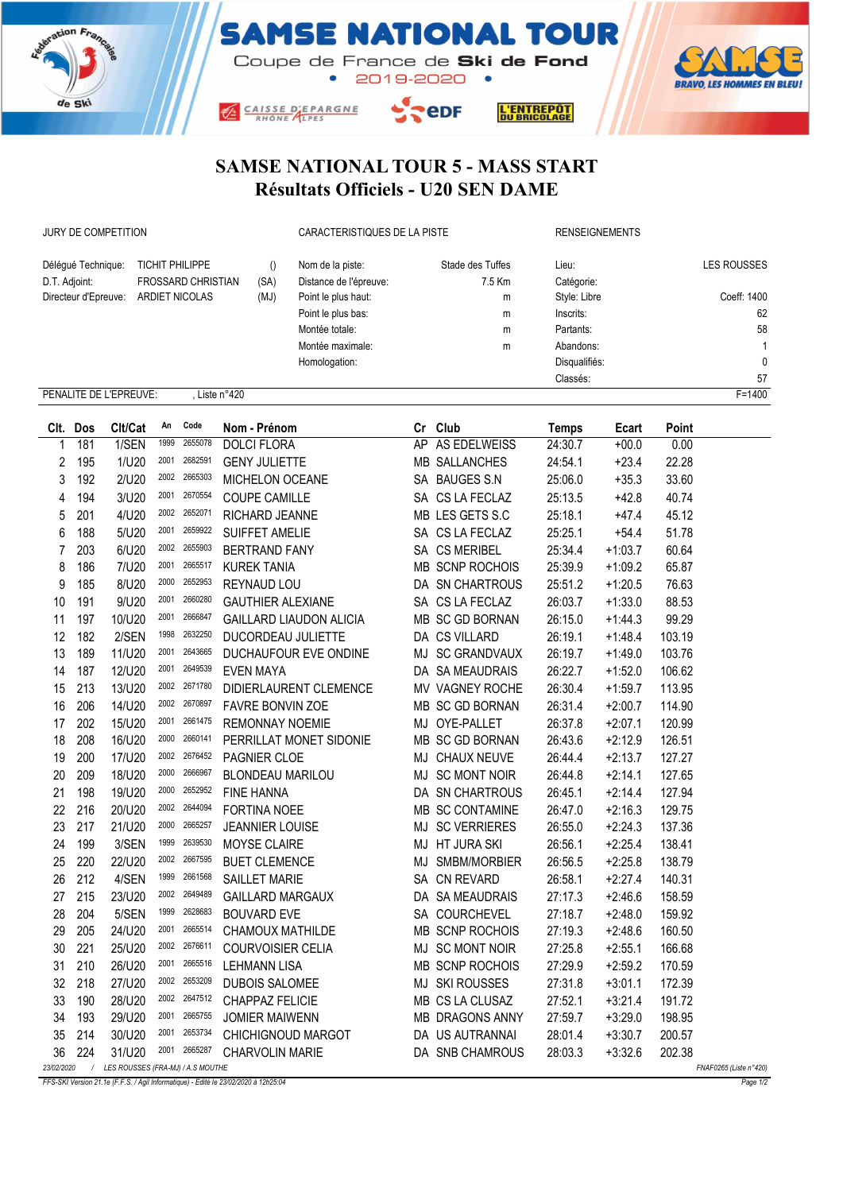





 $5.5$ eDF CAISSE D'EPARGNE



## SAMSE NATIONAL TOUR 5 - MASS START Résultats Officiels - U20 SEN DAME

JURY DE COMPETITION CARACTERISTIQUES DE LA PISTE RENSEIGNEMENTS

| Déléqué Technique:                                  | <b>TICHIT PHILIPPE</b>    |      | Nom de la piste:       | Stade des Tuffes | Lieu:         | <b>LES ROUSSES</b> |  |  |  |
|-----------------------------------------------------|---------------------------|------|------------------------|------------------|---------------|--------------------|--|--|--|
| D.T. Adjoint:                                       | <b>FROSSARD CHRISTIAN</b> | (SA) | Distance de l'épreuve: | 7.5 Km           | Catégorie:    |                    |  |  |  |
| Directeur d'Epreuve:                                | ARDIET NICOLAS            | (MJ) | Point le plus haut:    | m                | Style: Libre  | Coeff: 1400        |  |  |  |
|                                                     |                           |      | Point le plus bas:     | m                | Inscrits:     | 62                 |  |  |  |
|                                                     |                           |      | Montée totale:         | m                | Partants:     | 58                 |  |  |  |
|                                                     |                           |      | Montée maximale:       | m                | Abandons:     |                    |  |  |  |
|                                                     |                           |      | Homologation:          |                  | Disqualifiés: | $\mathbf{0}$       |  |  |  |
|                                                     |                           |      |                        |                  | Classés:      | 57                 |  |  |  |
| $F = 1400$<br>PENALITE DE L'EPREUVE:<br>Liste n°420 |                           |      |                        |                  |               |                    |  |  |  |

|                | Clt. Dos | Clt/Cat                           | An   | Code    | Nom - Prénom                   |    | Cr Club                | <b>Temps</b> | Ecart     | Point  |                        |
|----------------|----------|-----------------------------------|------|---------|--------------------------------|----|------------------------|--------------|-----------|--------|------------------------|
| 1              | 181      | 1/SEN                             | 1999 | 2655078 | <b>DOLCI FLORA</b>             |    | AP AS EDELWEISS        | 24:30.7      | $+00.0$   | 0.00   |                        |
| 2              | 195      | 1/U20                             | 2001 | 2682591 | <b>GENY JULIETTE</b>           |    | <b>MB SALLANCHES</b>   | 24:54.1      | $+23.4$   | 22.28  |                        |
| 3              | 192      | 2/U20                             | 2002 | 2665303 | MICHELON OCEANE                |    | SA BAUGES S.N          | 25:06.0      | $+35.3$   | 33.60  |                        |
| 4              | 194      | 3/U20                             | 2001 | 2670554 | <b>COUPE CAMILLE</b>           |    | SA CS LA FECLAZ        | 25:13.5      | $+42.8$   | 40.74  |                        |
| 5              | 201      | 4/U20                             | 2002 | 2652071 | RICHARD JEANNE                 |    | MB LES GETS S.C        | 25:18.1      | $+47.4$   | 45.12  |                        |
| 6              | 188      | 5/U20                             | 2001 | 2659922 | SUIFFET AMELIE                 |    | SA CS LA FECLAZ        | 25:25.1      | $+54.4$   | 51.78  |                        |
| $\overline{7}$ | 203      | 6/U20                             | 2002 | 2655903 | <b>BERTRAND FANY</b>           |    | SA CS MERIBEL          | 25:34.4      | $+1:03.7$ | 60.64  |                        |
| 8              | 186      | 7/U20                             | 2001 | 2665517 | <b>KUREK TANIA</b>             |    | MB SCNP ROCHOIS        | 25:39.9      | $+1:09.2$ | 65.87  |                        |
| 9              | 185      | 8/U20                             | 2000 | 2652953 | REYNAUD LOU                    |    | DA SN CHARTROUS        | 25:51.2      | $+1:20.5$ | 76.63  |                        |
| 10             | 191      | 9/U20                             | 2001 | 2660280 | <b>GAUTHIER ALEXIANE</b>       |    | SA CS LA FECLAZ        | 26:03.7      | $+1:33.0$ | 88.53  |                        |
| 11             | 197      | 10/U20                            | 2001 | 2666847 | <b>GAILLARD LIAUDON ALICIA</b> |    | MB SC GD BORNAN        | 26:15.0      | $+1:44.3$ | 99.29  |                        |
| 12             | 182      | 2/SEN                             | 1998 | 2632250 | DUCORDEAU JULIETTE             |    | DA CS VILLARD          | 26:19.1      | $+1:48.4$ | 103.19 |                        |
| 13             | 189      | 11/U20                            | 2001 | 2643665 | DUCHAUFOUR EVE ONDINE          |    | MJ SC GRANDVAUX        | 26:19.7      | $+1:49.0$ | 103.76 |                        |
| 14             | 187      | 12/U20                            | 2001 | 2649539 | <b>EVEN MAYA</b>               |    | DA SA MEAUDRAIS        | 26:22.7      | $+1:52.0$ | 106.62 |                        |
| 15             | 213      | 13/U20                            | 2002 | 2671780 | DIDIERLAURENT CLEMENCE         |    | MV VAGNEY ROCHE        | 26:30.4      | $+1:59.7$ | 113.95 |                        |
| 16             | 206      | 14/U20                            | 2002 | 2670897 | <b>FAVRE BONVIN ZOE</b>        |    | MB SC GD BORNAN        | 26:31.4      | $+2:00.7$ | 114.90 |                        |
| 17             | 202      | 15/U20                            | 2001 | 2661475 | <b>REMONNAY NOEMIE</b>         |    | MJ OYE-PALLET          | 26:37.8      | $+2:07.1$ | 120.99 |                        |
| 18             | 208      | 16/U20                            | 2000 | 2660141 | PERRILLAT MONET SIDONIE        |    | MB SC GD BORNAN        | 26:43.6      | $+2:12.9$ | 126.51 |                        |
| 19             | 200      | 17/U20                            | 2002 | 2676452 | PAGNIER CLOE                   | MJ | <b>CHAUX NEUVE</b>     | 26:44.4      | $+2:13.7$ | 127.27 |                        |
| 20             | 209      | 18/U20                            | 2000 | 2666967 | <b>BLONDEAU MARILOU</b>        |    | MJ SC MONT NOIR        | 26:44.8      | $+2:14.1$ | 127.65 |                        |
| 21             | 198      | 19/U20                            | 2000 | 2652952 | <b>FINE HANNA</b>              |    | DA SN CHARTROUS        | 26:45.1      | $+2:14.4$ | 127.94 |                        |
| 22             | 216      | 20/U20                            | 2002 | 2644094 | FORTINA NOEE                   |    | MB SC CONTAMINE        | 26:47.0      | $+2:16.3$ | 129.75 |                        |
| 23             | 217      | 21/U20                            | 2000 | 2665257 | <b>JEANNIER LOUISE</b>         | MJ | <b>SC VERRIERES</b>    | 26:55.0      | $+2:24.3$ | 137.36 |                        |
| 24             | 199      | 3/SEN                             | 1999 | 2639530 | <b>MOYSE CLAIRE</b>            |    | MJ HT JURA SKI         | 26:56.1      | $+2:25.4$ | 138.41 |                        |
| 25             | 220      | 22/U20                            | 2002 | 2667595 | <b>BUET CLEMENCE</b>           | MJ | SMBM/MORBIER           | 26:56.5      | $+2:25.8$ | 138.79 |                        |
| 26             | 212      | 4/SEN                             | 1999 | 2661568 | <b>SAILLET MARIE</b>           |    | SA CN REVARD           | 26:58.1      | $+2:27.4$ | 140.31 |                        |
| 27             | 215      | 23/U20                            | 2002 | 2649489 | <b>GAILLARD MARGAUX</b>        |    | DA SA MEAUDRAIS        | 27:17.3      | $+2:46.6$ | 158.59 |                        |
| 28             | 204      | 5/SEN                             | 1999 | 2628683 | <b>BOUVARD EVE</b>             |    | SA COURCHEVEL          | 27:18.7      | $+2:48.0$ | 159.92 |                        |
| 29             | 205      | 24/U20                            | 2001 | 2665514 | CHAMOUX MATHILDE               |    | MB SCNP ROCHOIS        | 27:19.3      | $+2:48.6$ | 160.50 |                        |
| 30             | 221      | 25/U20                            | 2002 | 2676611 | COURVOISIER CELIA              |    | MJ SC MONT NOIR        | 27:25.8      | $+2:55.1$ | 166.68 |                        |
| 31             | 210      | 26/U20                            | 2001 | 2665516 | <b>LEHMANN LISA</b>            |    | MB SCNP ROCHOIS        | 27:29.9      | $+2:59.2$ | 170.59 |                        |
| 32             | 218      | 27/U20                            | 2002 | 2653209 | <b>DUBOIS SALOMEE</b>          |    | <b>MJ SKI ROUSSES</b>  | 27:31.8      | $+3:01.1$ | 172.39 |                        |
| 33             | 190      | 28/U20                            | 2002 | 2647512 | <b>CHAPPAZ FELICIE</b>         |    | MB CS LA CLUSAZ        | 27:52.1      | $+3:21.4$ | 191.72 |                        |
| 34             | 193      | 29/U20                            | 2001 | 2665755 | <b>JOMIER MAIWENN</b>          |    | <b>MB DRAGONS ANNY</b> | 27:59.7      | $+3:29.0$ | 198.95 |                        |
| 35             | 214      | 30/U20                            | 2001 | 2653734 | CHICHIGNOUD MARGOT             |    | DA US AUTRANNAI        | 28:01.4      | $+3:30.7$ | 200.57 |                        |
| 36             | 224      | 31/U20                            | 2001 | 2665287 | <b>CHARVOLIN MARIE</b>         |    | DA SNB CHAMROUS        | 28:03.3      | $+3:32.6$ | 202.38 |                        |
| 23/02/2020     | $\prime$ | LES ROUSSES (FRA-MJ) / A.S MOUTHE |      |         |                                |    |                        |              |           |        | FNAF0265 (Liste n°420) |

FFS-SKI Version 21.1e (F.F.S. / Agil Informatique) - Edité le 23/02/2020 à 12h25:04 Page 1/2